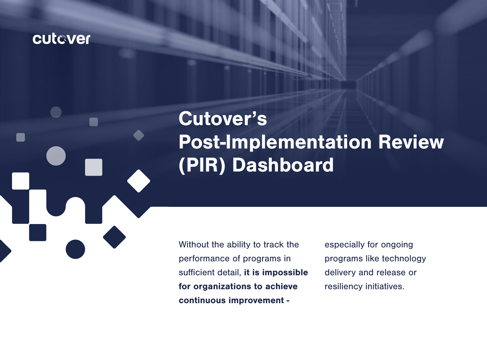## cutaver

# Cutover's Post-Implementation Review (PIR) Dashboard

Without the ability to track the performance of programs in sufficient detail, it is impossible for organizations to achieve continuous improvement -

especially for ongoing programs like technology delivery and release or resiliency initiatives.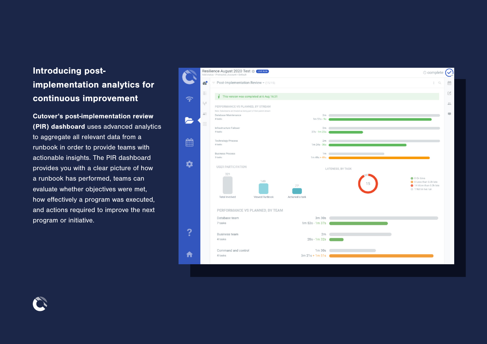### Introducing postimplementation analytics for continuous improvement

Cutover's post-implementation review (PIR) dashboard uses advanced analytics to aggregate all relevant data from a runbook in order to provide teams with actionable insights. The PIR dashboard provides you with a clear picture of how a runbook has performed, teams can evaluate whether objectives were met, how effectively a program was executed, and actions required to improve the next program or initiative.



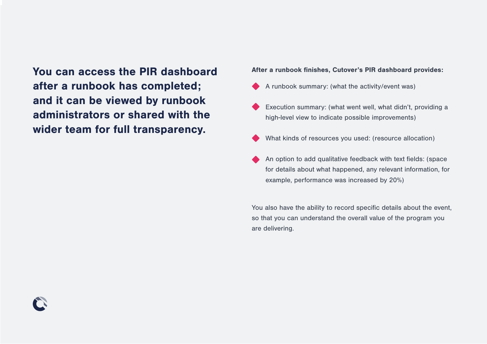You can access the PIR dashboard after a runbook has completed; and it can be viewed by runbook administrators or shared with the wider team for full transparency.

#### After a runbook finishes, Cutover's PIR dashboard provides:

- A runbook summary: (what the activity/event was)
- Execution summary: (what went well, what didn't, providing a high-level view to indicate possible improvements)
- What kinds of resources you used: (resource allocation)
- An option to add qualitative feedback with text fields: (space for details about what happened, any relevant information, for example, performance was increased by 20%)

You also have the ability to record specific details about the event, so that you can understand the overall value of the program you are delivering.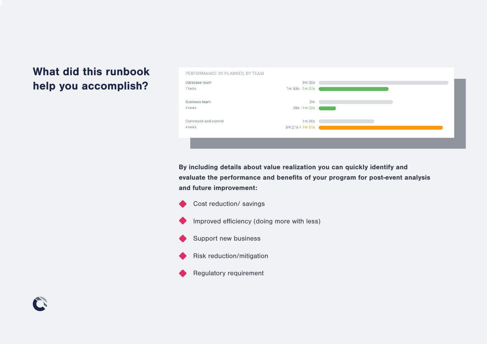### What did this runbook help you accomplish?

**FR** 



By including details about value realization you can quickly identify and evaluate the performance and benefits of your program for post-event analysis and future improvement:

Cost reduction/ savings

• Improved efficiency (doing more with less)

Support new business

• Risk reduction/mitigation

Regulatory requirement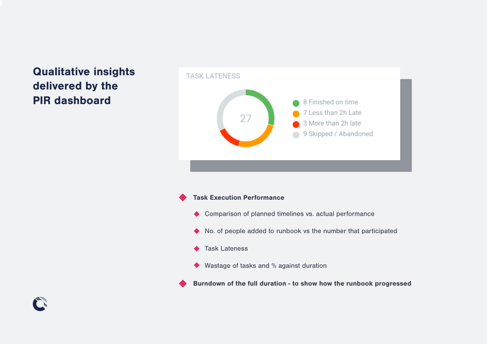### Qualitative insights delivered by the PIR dashboard



#### **Task Execution Performance**

- Comparison of planned timelines vs. actual performance
- No. of people added to runbook vs the number that participated
- ◆ Task Lateness
- Wastage of tasks and % against duration

• Burndown of the full duration - to show how the runbook progressed

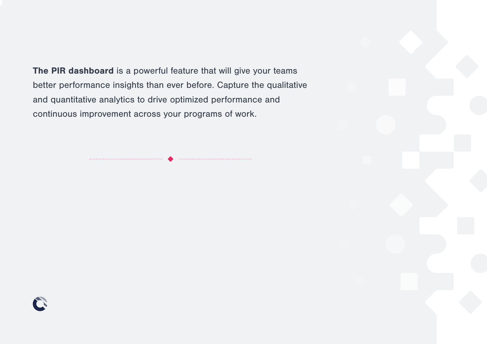The PIR dashboard is a powerful feature that will give your teams better performance insights than ever before. Capture the qualitative and quantitative analytics to drive optimized performance and continuous improvement across your programs of work.